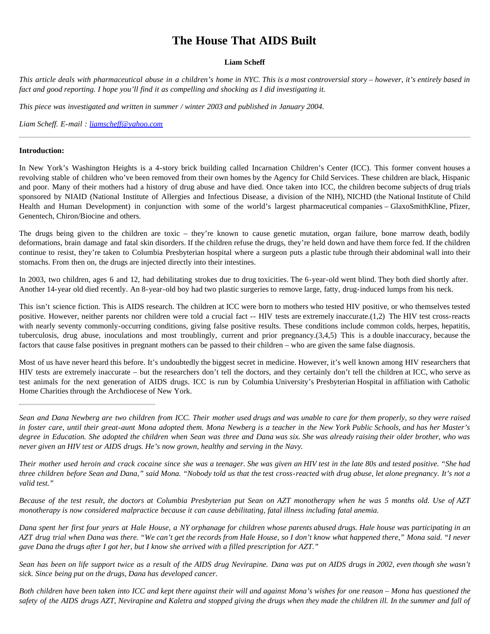# **The House That AIDS Built**

### **Liam Scheff**

*This article deals with pharmaceutical abuse in a children's home in NYC. This is a most controversial story – however, it's entirely based in fact and good reporting. I hope you'll find it as compelling and shocking as I did investigating it.*

*This piece was investigated and written in summer / winter 2003 and published in January 2004.*

*Liam Scheff. E-mail : [liamscheff@yahoo.com](mailto:liamscheff@yahoo.com)*

#### **Introduction:**

In New York's Washington Heights is a 4-story brick building called Incarnation Children's Center (ICC). This former convent houses a revolving stable of children who've been removed from their own homes by the Agency for Child Services. These children are black, Hispanic and poor. Many of their mothers had a history of drug abuse and have died. Once taken into ICC, the children become subjects of drug trials sponsored by NIAID (National Institute of Allergies and Infectious Disease, a division of the NIH), NICHD (the National Institute of Child Health and Human Development) in conjunction with some of the world's largest pharmaceutical companies – GlaxoSmithKline, Pfizer, Genentech, Chiron/Biocine and others.

The drugs being given to the children are toxic – they're known to cause genetic mutation, organ failure, bone marrow death, bodily deformations, brain damage and fatal skin disorders. If the children refuse the drugs, they're held down and have them force fed. If the children continue to resist, they're taken to Columbia Presbyterian hospital where a surgeon puts a plastic tube through their abdominal wall into their stomachs. From then on, the drugs are injected directly into their intestines.

In 2003, two children, ages 6 and 12, had debilitating strokes due to drug toxicities. The 6-year-old went blind. They both died shortly after. Another 14-year old died recently. An 8-year-old boy had two plastic surgeries to remove large, fatty, drug-induced lumps from his neck.

This isn't science fiction. This is AIDS research. The children at ICC were born to mothers who tested HIV positive, or who themselves tested positive. However, neither parents nor children were told a crucial fact -- HIV tests are extremely inaccurate.(1,2) The HIV test cross-reacts with nearly seventy commonly-occurring conditions, giving false positive results. These conditions include common colds, herpes, hepatitis, tuberculosis, drug abuse, inoculations and most troublingly, current and prior pregnancy.(3,4,5) This is a double inaccuracy, because the factors that cause false positives in pregnant mothers can be passed to their children – who are given the same false diagnosis.

Most of us have never heard this before. It's undoubtedly the biggest secret in medicine. However, it's well known among HIV researchers that HIV tests are extremely inaccurate – but the researchers don't tell the doctors, and they certainly don't tell the children at ICC, who serve as test animals for the next generation of AIDS drugs. ICC is run by Columbia University's Presbyterian Hospital in affiliation with Catholic Home Charities through the Archdiocese of New York.

*Their mother used heroin and crack cocaine since she was a teenager. She was given an HIV test in the late 80s and tested positive. "She had three children before Sean and Dana," said Mona. "Nobody told us that the test cross-reacted with drug abuse, let alone pregnancy. It's not a valid test."*

*Because of the test result, the doctors at Columbia Presbyterian put Sean on AZT monotherapy when he was 5 months old. Use of AZT monotherapy is now considered malpractice because it can cause debilitating, fatal illness including fatal anemia.*

*Dana spent her first four years at Hale House, a NY orphanage for children whose parents abused drugs. Hale house was participating in an AZT drug trial when Dana was there. "We can't get the records from Hale House, so I don't know what happened there," Mona said. "I never gave Dana the drugs after I got her, but I know she arrived with a filled prescription for AZT."*

*Sean has been on life support twice as a result of the AIDS drug Nevirapine. Dana was put on AIDS drugs in 2002, even though she wasn't sick. Since being put on the drugs, Dana has developed cancer.*

*Both children have been taken into ICC and kept there against their will and against Mona's wishes for one reason – Mona has questioned the safety of the AIDS drugs AZT, Nevirapine and Kaletra and stopped giving the drugs when they made the children ill. In the summer and fall of*

*Sean and Dana Newberg are two children from ICC. Their mother used drugs and was unable to care for them properly, so they were raised in foster care, until their great-aunt Mona adopted them. Mona Newberg is a teacher in the New York Public Schools, and has her Master's degree in Education. She adopted the children when Sean was three and Dana was six. She was already raising their older brother, who was never given an HIV test or AIDS drugs. He's now grown, healthy and serving in the Navy.*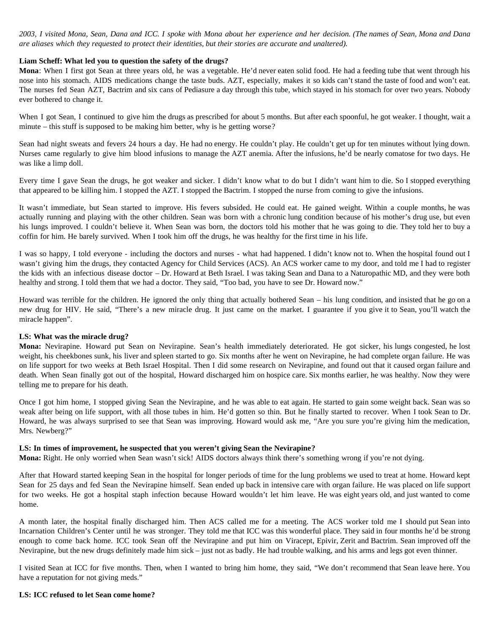*2003, I visited Mona, Sean, Dana and ICC. I spoke with Mona about her experience and her decision. (The names of Sean, Mona and Dana are aliases which they requested to protect their identities, but their stories are accurate and unaltered).*

### **Liam Scheff: What led you to question the safety of the drugs?**

**Mona**: When I first got Sean at three years old, he was a vegetable. He'd never eaten solid food. He had a feeding tube that went through his nose into his stomach. AIDS medications change the taste buds. AZT, especially, makes it so kids can't stand the taste of food and won't eat. The nurses fed Sean AZT, Bactrim and six cans of Pediasure a day through this tube, which stayed in his stomach for over two years. Nobody ever bothered to change it.

When I got Sean, I continued to give him the drugs as prescribed for about 5 months. But after each spoonful, he got weaker. I thought, wait a minute – this stuff is supposed to be making him better, why is he getting worse?

Sean had night sweats and fevers 24 hours a day. He had no energy. He couldn't play. He couldn't get up for ten minutes without lying down. Nurses came regularly to give him blood infusions to manage the AZT anemia. After the infusions, he'd be nearly comatose for two days. He was like a limp doll.

Every time I gave Sean the drugs, he got weaker and sicker. I didn't know what to do but I didn't want him to die. So I stopped everything that appeared to be killing him. I stopped the AZT. I stopped the Bactrim. I stopped the nurse from coming to give the infusions.

It wasn't immediate, but Sean started to improve. His fevers subsided. He could eat. He gained weight. Within a couple months, he was actually running and playing with the other children. Sean was born with a chronic lung condition because of his mother's drug use, but even his lungs improved. I couldn't believe it. When Sean was born, the doctors told his mother that he was going to die. They told her to buy a coffin for him. He barely survived. When I took him off the drugs, he was healthy for the first time in his life.

I was so happy, I told everyone - including the doctors and nurses - what had happened. I didn't know not to. When the hospital found out I wasn't giving him the drugs, they contacted Agency for Child Services (ACS). An ACS worker came to my door, and told me I had to register the kids with an infectious disease doctor – Dr. Howard at Beth Israel. I was taking Sean and Dana to a Naturopathic MD, and they were both healthy and strong. I told them that we had a doctor. They said, "Too bad, you have to see Dr. Howard now."

Howard was terrible for the children. He ignored the only thing that actually bothered Sean – his lung condition, and insisted that he go on a new drug for HIV. He said, "There's a new miracle drug. It just came on the market. I guarantee if you give it to Sean, you'll watch the miracle happen".

### **LS: What was the miracle drug?**

**Mona:** Nevirapine. Howard put Sean on Nevirapine. Sean's health immediately deteriorated. He got sicker, his lungs congested, he lost weight, his cheekbones sunk, his liver and spleen started to go. Six months after he went on Nevirapine, he had complete organ failure. He was on life support for two weeks at Beth Israel Hospital. Then I did some research on Nevirapine, and found out that it caused organ failure and death. When Sean finally got out of the hospital, Howard discharged him on hospice care. Six months earlier, he was healthy. Now they were telling me to prepare for his death.

Once I got him home, I stopped giving Sean the Nevirapine, and he was able to eat again. He started to gain some weight back. Sean was so weak after being on life support, with all those tubes in him. He'd gotten so thin. But he finally started to recover. When I took Sean to Dr. Howard, he was always surprised to see that Sean was improving. Howard would ask me, "Are you sure you're giving him the medication, Mrs. Newberg?"

### **LS: In times of improvement, he suspected that you weren't giving Sean the Nevirapine?**

**Mona:** Right. He only worried when Sean wasn't sick! AIDS doctors always think there's something wrong if you're not dying.

After that Howard started keeping Sean in the hospital for longer periods of time for the lung problems we used to treat at home. Howard kept Sean for 25 days and fed Sean the Nevirapine himself. Sean ended up back in intensive care with organ failure. He was placed on life support for two weeks. He got a hospital staph infection because Howard wouldn't let him leave. He was eight years old, and just wanted to come home.

A month later, the hospital finally discharged him. Then ACS called me for a meeting. The ACS worker told me I should put Sean into Incarnation Children's Center until he was stronger. They told me that ICC was this wonderful place. They said in four months he'd be strong enough to come back home. ICC took Sean off the Nevirapine and put him on Viracept, Epivir, Zerit and Bactrim. Sean improved off the Nevirapine, but the new drugs definitely made him sick – just not as badly. He had trouble walking, and his arms and legs got even thinner.

I visited Sean at ICC for five months. Then, when I wanted to bring him home, they said, "We don't recommend that Sean leave here. You have a reputation for not giving meds."

### **LS: ICC refused to let Sean come home?**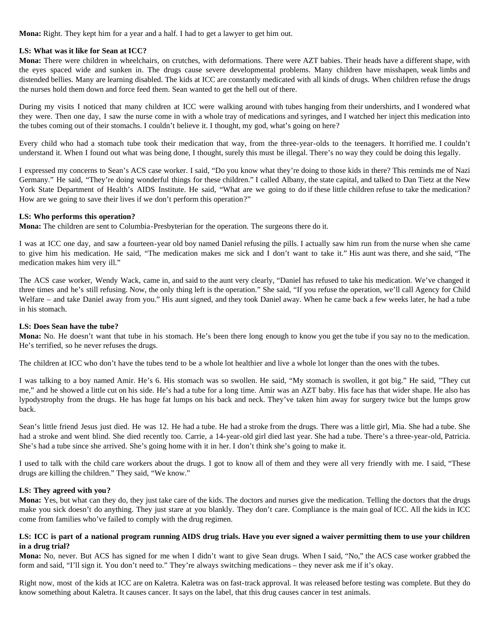**Mona:** Right. They kept him for a year and a half. I had to get a lawyer to get him out.

### **LS: What was it like for Sean at ICC?**

**Mona:** There were children in wheelchairs, on crutches, with deformations. There were AZT babies. Their heads have a different shape, with the eyes spaced wide and sunken in. The drugs cause severe developmental problems. Many children have misshapen, weak limbs and distended bellies. Many are learning disabled. The kids at ICC are constantly medicated with all kinds of drugs. When children refuse the drugs the nurses hold them down and force feed them. Sean wanted to get the hell out of there.

During my visits I noticed that many children at ICC were walking around with tubes hanging from their undershirts, and I wondered what they were. Then one day, I saw the nurse come in with a whole tray of medications and syringes, and I watched her inject this medication into the tubes coming out of their stomachs. I couldn't believe it. I thought, my god, what's going on here?

Every child who had a stomach tube took their medication that way, from the three-year-olds to the teenagers. It horrified me. I couldn't understand it. When I found out what was being done, I thought, surely this must be illegal. There's no way they could be doing this legally.

I expressed my concerns to Sean's ACS case worker. I said, "Do you know what they're doing to those kids in there? This reminds me of Nazi Germany." He said, "They're doing wonderful things for these children." I called Albany, the state capital, and talked to Dan Tietz at the New York State Department of Health's AIDS Institute. He said, "What are we going to do if these little children refuse to take the medication? How are we going to save their lives if we don't perform this operation?"

### **LS: Who performs this operation?**

**Mona:** The children are sent to Columbia-Presbyterian for the operation. The surgeons there do it.

I was at ICC one day, and saw a fourteen-year old boy named Daniel refusing the pills. I actually saw him run from the nurse when she came to give him his medication. He said, "The medication makes me sick and I don't want to take it." His aunt was there, and she said, "The medication makes him very ill."

The ACS case worker, Wendy Wack, came in, and said to the aunt very clearly, "Daniel has refused to take his medication. We've changed it three times and he's still refusing. Now, the only thing left is the operation." She said, "If you refuse the operation, we'll call Agency for Child Welfare – and take Daniel away from you." His aunt signed, and they took Daniel away. When he came back a few weeks later, he had a tube in his stomach.

### **LS: Does Sean have the tube?**

**Mona:** No. He doesn't want that tube in his stomach. He's been there long enough to know you get the tube if you say no to the medication. He's terrified, so he never refuses the drugs.

The children at ICC who don't have the tubes tend to be a whole lot healthier and live a whole lot longer than the ones with the tubes.

I was talking to a boy named Amir. He's 6. His stomach was so swollen. He said, "My stomach is swollen, it got big." He said, "They cut me," and he showed a little cut on his side. He's had a tube for a long time. Amir was an AZT baby. His face has that wider shape. He also has lypodystrophy from the drugs. He has huge fat lumps on his back and neck. They've taken him away for surgery twice but the lumps grow back.

Sean's little friend Jesus just died. He was 12. He had a tube. He had a stroke from the drugs. There was a little girl, Mia. She had a tube. She had a stroke and went blind. She died recently too. Carrie, a 14-year-old girl died last year. She had a tube. There's a three-year-old, Patricia. She's had a tube since she arrived. She's going home with it in her. I don't think she's going to make it.

I used to talk with the child care workers about the drugs. I got to know all of them and they were all very friendly with me. I said, "These drugs are killing the children." They said, "We know."

### **LS: They agreed with you?**

**Mona:** Yes, but what can they do, they just take care of the kids. The doctors and nurses give the medication. Telling the doctors that the drugs make you sick doesn't do anything. They just stare at you blankly. They don't care. Compliance is the main goal of ICC. All the kids in ICC come from families who've failed to comply with the drug regimen.

### **LS: ICC is part of a national program running AIDS drug trials. Have you ever signed a waiver permitting them to use your children in a drug trial?**

**Mona:** No, never. But ACS has signed for me when I didn't want to give Sean drugs. When I said, "No," the ACS case worker grabbed the form and said, "I'll sign it. You don't need to." They're always switching medications – they never ask me if it's okay.

Right now, most of the kids at ICC are on Kaletra. Kaletra was on fast-track approval. It was released before testing was complete. But they do know something about Kaletra. It causes cancer. It says on the label, that this drug causes cancer in test animals.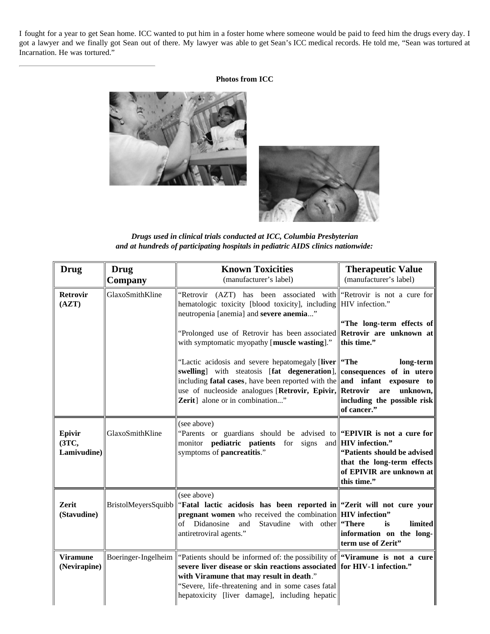I fought for a year to get Sean home. ICC wanted to put him in a foster home where someone would be paid to feed him the drugs every day. I got a lawyer and we finally got Sean out of there. My lawyer was able to get Sean's ICC medical records. He told me, "Sean was tortured at Incarnation. He was tortured."

### **Photos from ICC**





*Drugs used in clinical trials conducted at ICC, Columbia Presbyterian and at hundreds of participating hospitals in pediatric AIDS clinics nationwide:*

| <b>Drug</b>                     | <b>Drug</b><br>Company | <b>Known Toxicities</b><br>(manufacturer's label)                                                                                                                                                                                                                                                                                                                                                                                                                                                                                                                                                                   | <b>Therapeutic Value</b><br>(manufacturer's label)                                                                                                |  |
|---------------------------------|------------------------|---------------------------------------------------------------------------------------------------------------------------------------------------------------------------------------------------------------------------------------------------------------------------------------------------------------------------------------------------------------------------------------------------------------------------------------------------------------------------------------------------------------------------------------------------------------------------------------------------------------------|---------------------------------------------------------------------------------------------------------------------------------------------------|--|
| <b>Retrovir</b><br>(AZT)        | GlaxoSmithKline        | "Retrovir (AZT) has been associated with "Retrovir is not a cure for<br>hematologic toxicity [blood toxicity], including HIV infection."<br>neutropenia [anemia] and severe anemia"<br>"Prolonged use of Retrovir has been associated<br>with symptomatic myopathy [muscle wasting]."<br>"Lactic acidosis and severe hepatomegaly [liver    "The<br>swelling] with steatosis [fat degeneration], consequences of in utero<br>including <b>fatal cases</b> , have been reported with the <b>and</b> infant exposure to<br>use of nucleoside analogues [Retrovir, Epivir, Retrovir<br>Zerit] alone or in combination" | "The long-term effects of<br>Retrovir are unknown at<br>this time."<br>long-term<br>are<br>unknown,<br>including the possible risk<br>of cancer." |  |
| Epivir<br>(3TC,<br>Lamivudine)  | GlaxoSmithKline        | (see above)<br>"Parents or guardians should be advised to " <b>EPIVIR</b> is not a cure for<br>monitor <b>pediatric patients</b> for<br>signs<br>symptoms of pancreatitis."                                                                                                                                                                                                                                                                                                                                                                                                                                         | and <b>HIV</b> infection."<br>"Patients should be advised<br>that the long-term effects<br>of EPIVIR are unknown at<br>this time."                |  |
| <b>Zerit</b><br>(Stavudine)     |                        | (see above)<br>BristolMeyersSquibb "Fatal lactic acidosis has been reported in "Zerit will not cure your<br>pregnant women who received the combination HIV infection"<br>with other <b>There</b><br>of Didanosine<br>Stavudine<br>and<br>antiretroviral agents."                                                                                                                                                                                                                                                                                                                                                   | limited<br>is<br>information on the long-<br>term use of Zerit"                                                                                   |  |
| <b>Viramune</b><br>(Nevirapine) | Boeringer-Ingelheim    | "Patients should be informed of: the possibility of <b>"Viramune is not a cure"</b><br>severe liver disease or skin reactions associated for HIV-1 infection."<br>with Viramune that may result in death."<br>"Severe, life-threatening and in some cases fatal<br>hepatoxicity [liver damage], including hepatic                                                                                                                                                                                                                                                                                                   |                                                                                                                                                   |  |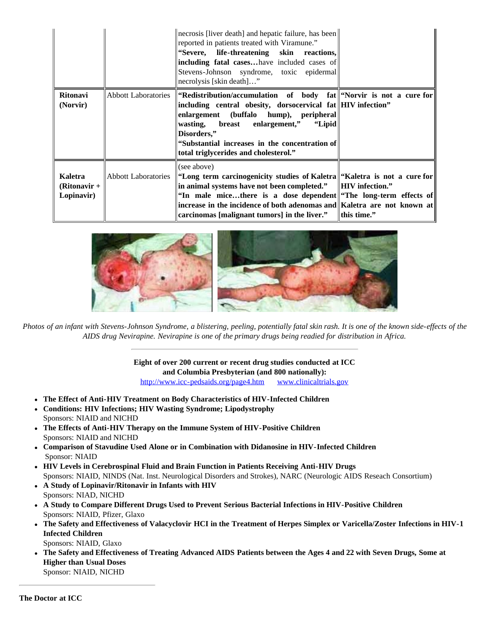|                                         |                     | necrosis [liver death] and hepatic failure, has been<br>reported in patients treated with Viramune."<br>"Severe, life-threatening skin reactions,<br>including fatal caseshave included cases of<br>Stevens-Johnson syndrome, toxic epidermal<br>necrolysis [skin death]"                                                             |                                               |
|-----------------------------------------|---------------------|---------------------------------------------------------------------------------------------------------------------------------------------------------------------------------------------------------------------------------------------------------------------------------------------------------------------------------------|-----------------------------------------------|
| <b>Ritonavi</b><br>(Norvir)             | Abbott Laboratories | "Redistribution/accumulation of body fat  "Norvir is not a cure for<br>including central obesity, dorsocervical fat HIV infection"<br>enlargement (buffalo hump), peripheral<br>wasting, breast enlargement," "Lipid<br>Disorders,"<br>"Substantial increases in the concentration of<br>total triglycerides and cholesterol."        |                                               |
| Kaletra<br>$(Ritonavir +$<br>Lopinavir) | Abbott Laboratories | (see above)<br>"Long term carcinogenicity studies of Kaletra "Kaletra is not a cure for<br>in animal systems have not been completed."<br>"In male micethere is a dose dependent "The long-term effects of<br>increase in the incidence of both adenomas and Kaletra are not known at<br>carcinomas [malignant tumors] in the liver." | $\parallel$ HIV infection."<br>   this time." |



*Photos of an infant with Stevens-Johnson Syndrome, a blistering, peeling, potentially fatal skin rash. It is one of the known side-effects of the AIDS drug Nevirapine. Nevirapine is one of the primary drugs being readied for distribution in Africa.*

**Eight of over 200 current or recent drug studies conducted at ICC and Columbia Presbyterian (and 800 nationally):**

<http://www.icc-pedsaids.org/page4.htm>[www.clinicaltrials.gov](http://www.clinicaltrials.gov/)

- **The Effect of Anti-HIV Treatment on Body Characteristics of HIV-Infected Children**
- **Conditions: HIV Infections; HIV Wasting Syndrome; Lipodystrophy** Sponsors: NIAID and NICHD
- **The Effects of Anti-HIV Therapy on the Immune System of HIV-Positive Children** Sponsors: NIAID and NICHD
- **Comparison of Stavudine Used Alone or in Combination with Didanosine in HIV-Infected Children**  $\bullet$ Sponsor: NIAID
- **HIV Levels in Cerebrospinal Fluid and Brain Function in Patients Receiving Anti-HIV Drugs** Sponsors: NIAID, NINDS (Nat. Inst. Neurological Disorders and Strokes), NARC (Neurologic AIDS Reseach Consortium)
- **A Study of Lopinavir/Ritonavir in Infants with HIV** Sponsors: NIAD, NICHD
- **A Study to Compare Different Drugs Used to Prevent Serious Bacterial Infections in HIV-Positive Children** Sponsors: NIAID, Pfizer, Glaxo
- **The Safety and Effectiveness of Valacyclovir HCI in the Treatment of Herpes Simplex or Varicella/Zoster Infections in HIV-1 Infected Children**

Sponsors: NIAID, Glaxo

**The Safety and Effectiveness of Treating Advanced AIDS Patients between the Ages 4 and 22 with Seven Drugs, Some at Higher than Usual Doses** Sponsor: NIAID, NICHD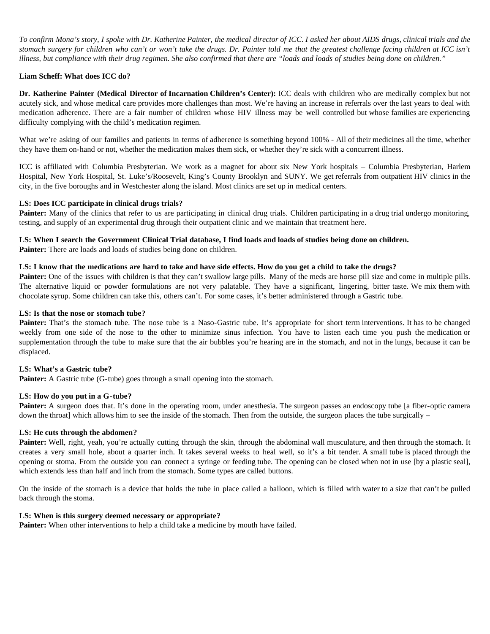*To confirm Mona's story, I spoke with Dr. Katherine Painter, the medical director of ICC. I asked her about AIDS drugs, clinical trials and the stomach surgery for children who can't or won't take the drugs. Dr. Painter told me that the greatest challenge facing children at ICC isn't illness, but compliance with their drug regimen. She also confirmed that there are "loads and loads of studies being done on children."*

### **Liam Scheff: What does ICC do?**

**Dr. Katherine Painter (Medical Director of Incarnation Children's Center):** ICC deals with children who are medically complex but not acutely sick, and whose medical care provides more challenges than most. We're having an increase in referrals over the last years to deal with medication adherence. There are a fair number of children whose HIV illness may be well controlled but whose families are experiencing difficulty complying with the child's medication regimen.

What we're asking of our families and patients in terms of adherence is something beyond 100% - All of their medicines all the time, whether they have them on-hand or not, whether the medication makes them sick, or whether they're sick with a concurrent illness.

ICC is affiliated with Columbia Presbyterian. We work as a magnet for about six New York hospitals – Columbia Presbyterian, Harlem Hospital, New York Hospital, St. Luke's/Roosevelt, King's County Brooklyn and SUNY. We get referrals from outpatient HIV clinics in the city, in the five boroughs and in Westchester along the island. Most clinics are set up in medical centers.

### **LS: Does ICC participate in clinical drugs trials?**

**Painter:** Many of the clinics that refer to us are participating in clinical drug trials. Children participating in a drug trial undergo monitoring, testing, and supply of an experimental drug through their outpatient clinic and we maintain that treatment here.

### **LS: When I search the Government Clinical Trial database, I find loads and loads of studies being done on children.**

**Painter:** There are loads and loads of studies being done on children.

### **LS: I know that the medications are hard to take and have side effects. How do you get a child to take the drugs?**

**Painter:** One of the issues with children is that they can't swallow large pills. Many of the meds are horse pill size and come in multiple pills. The alternative liquid or powder formulations are not very palatable. They have a significant, lingering, bitter taste. We mix them with chocolate syrup. Some children can take this, others can't. For some cases, it's better administered through a Gastric tube.

### **LS: Is that the nose or stomach tube?**

Painter: That's the stomach tube. The nose tube is a Naso-Gastric tube. It's appropriate for short term interventions. It has to be changed weekly from one side of the nose to the other to minimize sinus infection. You have to listen each time you push the medication or supplementation through the tube to make sure that the air bubbles you're hearing are in the stomach, and not in the lungs, because it can be displaced.

### **LS: What's a Gastric tube?**

Painter: A Gastric tube (G-tube) goes through a small opening into the stomach.

### **LS: How do you put in a G-tube?**

Painter: A surgeon does that. It's done in the operating room, under anesthesia. The surgeon passes an endoscopy tube [a fiber-optic camera down the throat] which allows him to see the inside of the stomach. Then from the outside, the surgeon places the tube surgically –

### **LS: He cuts through the abdomen?**

Painter: Well, right, yeah, you're actually cutting through the skin, through the abdominal wall musculature, and then through the stomach. It creates a very small hole, about a quarter inch. It takes several weeks to heal well, so it's a bit tender. A small tube is placed through the opening or stoma. From the outside you can connect a syringe or feeding tube. The opening can be closed when not in use [by a plastic seal], which extends less than half and inch from the stomach. Some types are called buttons.

On the inside of the stomach is a device that holds the tube in place called a balloon, which is filled with water to a size that can't be pulled back through the stoma.

### **LS: When is this surgery deemed necessary or appropriate?**

**Painter:** When other interventions to help a child take a medicine by mouth have failed.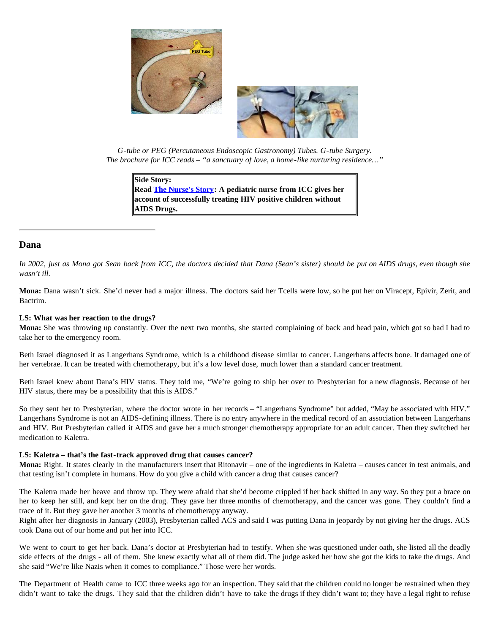



*G-tube or PEG (Percutaneous Endoscopic Gastronomy) Tubes. G-tube Surgery. The brochure for ICC reads – "a sanctuary of love, a home-like nurturing residence…"*

**Side Story: Read [The Nurse's Story:](http://www.altheal.org/toxicity/nurse.htm) A pediatric nurse from ICC gives her account of successfully treating HIV positive children without AIDS Drugs.**

### **Dana**

*In 2002, just as Mona got Sean back from ICC, the doctors decided that Dana (Sean's sister) should be put on AIDS drugs, even though she wasn't ill.*

**Mona:** Dana wasn't sick. She'd never had a major illness. The doctors said her Tcells were low, so he put her on Viracept, Epivir, Zerit, and Bactrim.

### **LS: What was her reaction to the drugs?**

**Mona:** She was throwing up constantly. Over the next two months, she started complaining of back and head pain, which got so bad I had to take her to the emergency room.

Beth Israel diagnosed it as Langerhans Syndrome, which is a childhood disease similar to cancer. Langerhans affects bone. It damaged one of her vertebrae. It can be treated with chemotherapy, but it's a low level dose, much lower than a standard cancer treatment.

Beth Israel knew about Dana's HIV status. They told me, "We're going to ship her over to Presbyterian for a new diagnosis. Because of her HIV status, there may be a possibility that this is AIDS."

So they sent her to Presbyterian, where the doctor wrote in her records – "Langerhans Syndrome" but added, "May be associated with HIV." Langerhans Syndrome is not an AIDS-defining illness. There is no entry anywhere in the medical record of an association between Langerhans and HIV. But Presbyterian called it AIDS and gave her a much stronger chemotherapy appropriate for an adult cancer. Then they switched her medication to Kaletra.

### **LS: Kaletra – that's the fast-track approved drug that causes cancer?**

**Mona:** Right. It states clearly in the manufacturers insert that Ritonavir – one of the ingredients in Kaletra – causes cancer in test animals, and that testing isn't complete in humans. How do you give a child with cancer a drug that causes cancer?

The Kaletra made her heave and throw up. They were afraid that she'd become crippled if her back shifted in any way. So they put a brace on her to keep her still, and kept her on the drug. They gave her three months of chemotherapy, and the cancer was gone. They couldn't find a trace of it. But they gave her another 3 months of chemotherapy anyway.

Right after her diagnosis in January (2003), Presbyterian called ACS and said I was putting Dana in jeopardy by not giving her the drugs. ACS took Dana out of our home and put her into ICC.

We went to court to get her back. Dana's doctor at Presbyterian had to testify. When she was questioned under oath, she listed all the deadly side effects of the drugs - all of them. She knew exactly what all of them did. The judge asked her how she got the kids to take the drugs. And she said "We're like Nazis when it comes to compliance." Those were her words.

The Department of Health came to ICC three weeks ago for an inspection. They said that the children could no longer be restrained when they didn't want to take the drugs. They said that the children didn't have to take the drugs if they didn't want to; they have a legal right to refuse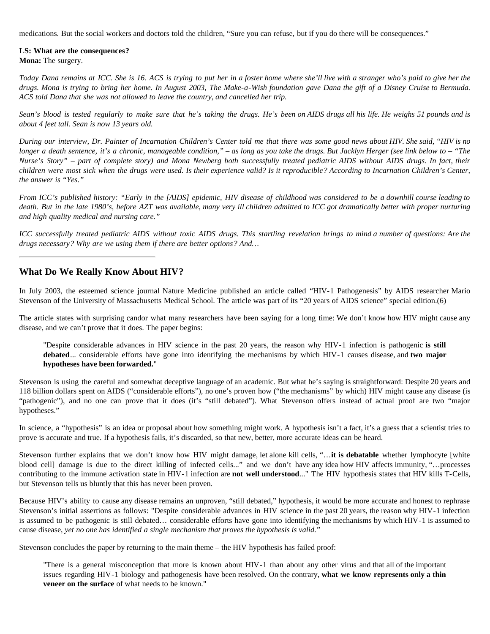medications. But the social workers and doctors told the children, "Sure you can refuse, but if you do there will be consequences."

### **LS: What are the consequences?**

**Mona:** The surgery.

*Today Dana remains at ICC. She is 16. ACS is trying to put her in a foster home where she'll live with a stranger who's paid to give her the drugs. Mona is trying to bring her home. In August 2003, The Make-a-Wish foundation gave Dana the gift of a Disney Cruise to Bermuda. ACS told Dana that she was not allowed to leave the country, and cancelled her trip.*

*Sean's blood is tested regularly to make sure that he's taking the drugs. He's been on AIDS drugs all his life. He weighs 51 pounds and is about 4 feet tall. Sean is now 13 years old.*

*During our interview, Dr. Painter of Incarnation Children's Center told me that there was some good news about HIV. She said, "HIV is no longer a death sentence, it's a chronic, manageable condition," – as long as you take the drugs. But Jacklyn Herger (see link below to – "The Nurse's Story" – part of complete story) and Mona Newberg both successfully treated pediatric AIDS without AIDS drugs. In fact, their children were most sick when the drugs were used. Is their experience valid? Is it reproducible? According to Incarnation Children's Center, the answer is "Yes."*

*From ICC's published history: "Early in the [AIDS] epidemic, HIV disease of childhood was considered to be a downhill course leading to death. But in the late 1980's, before AZT was available, many very ill children admitted to ICC got dramatically better with proper nurturing and high quality medical and nursing care."*

*ICC successfully treated pediatric AIDS without toxic AIDS drugs. This startling revelation brings to mind a number of questions: Are the drugs necessary? Why are we using them if there are better options? And…*

### **What Do We Really Know About HIV?**

In July 2003, the esteemed science journal Nature Medicine published an article called "HIV-1 Pathogenesis" by AIDS researcher Mario Stevenson of the University of Massachusetts Medical School. The article was part of its "20 years of AIDS science" special edition.(6)

The article states with surprising candor what many researchers have been saying for a long time: We don't know how HIV might cause any disease, and we can't prove that it does. The paper begins:

"Despite considerable advances in HIV science in the past 20 years, the reason why HIV-1 infection is pathogenic **is still debated**... considerable efforts have gone into identifying the mechanisms by which HIV-1 causes disease, and **two major hypotheses have been forwarded.**"

Stevenson is using the careful and somewhat deceptive language of an academic. But what he's saying is straightforward: Despite 20 years and 118 billion dollars spent on AIDS ("considerable efforts"), no one's proven how ("the mechanisms" by which) HIV might cause any disease (is "pathogenic"), and no one can prove that it does (it's "still debated"). What Stevenson offers instead of actual proof are two "major hypotheses."

In science, a "hypothesis" is an idea or proposal about how something might work. A hypothesis isn't a fact, it's a guess that a scientist tries to prove is accurate and true. If a hypothesis fails, it's discarded, so that new, better, more accurate ideas can be heard.

Stevenson further explains that we don't know how HIV might damage, let alone kill cells, "…**it is debatable** whether lymphocyte [white blood cell] damage is due to the direct killing of infected cells..." and we don't have any idea how HIV affects immunity, "…processes contributing to the immune activation state in HIV-1 infection are **not well understood**..." The HIV hypothesis states that HIV kills T-Cells, but Stevenson tells us bluntly that this has never been proven.

Because HIV's ability to cause any disease remains an unproven, "still debated," hypothesis, it would be more accurate and honest to rephrase Stevenson's initial assertions as follows: "Despite considerable advances in HIV science in the past 20 years, the reason why HIV-1 infection is assumed to be pathogenic is still debated… considerable efforts have gone into identifying the mechanisms by which HIV-1 is assumed to cause disease, *yet no one has identified a single mechanism that proves the hypothesis is valid.*"

Stevenson concludes the paper by returning to the main theme – the HIV hypothesis has failed proof:

"There is a general misconception that more is known about HIV-1 than about any other virus and that all of the important issues regarding HIV-1 biology and pathogenesis have been resolved. On the contrary, **what we know represents only a thin veneer on the surface** of what needs to be known."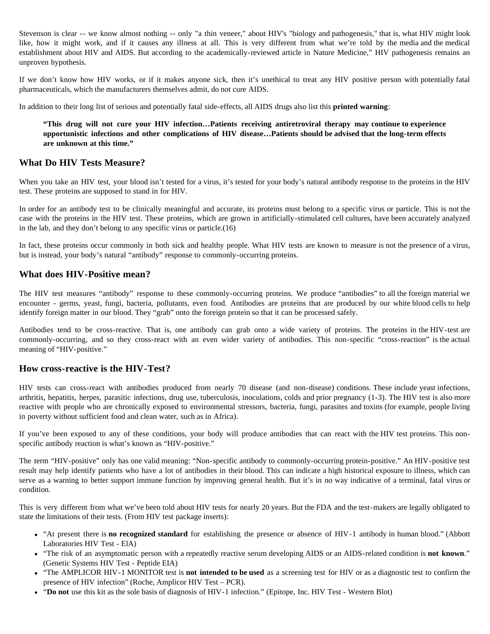Stevenson is clear -- we know almost nothing -- only "a thin veneer," about HIV's "biology and pathogenesis," that is, what HIV might look like, how it might work, and if it causes any illness at all. This is very different from what we're told by the media and the medical establishment about HIV and AIDS. But according to the academically-reviewed article in Nature Medicine," HIV pathogenesis remains an unproven hypothesis.

If we don't know how HIV works, or if it makes anyone sick, then it's unethical to treat any HIV positive person with potentially fatal pharmaceuticals, which the manufacturers themselves admit, do not cure AIDS.

In addition to their long list of serious and potentially fatal side-effects, all AIDS drugs also list this **printed warning**:

**"This drug will not cure your HIV infection…Patients receiving antiretroviral therapy may continue to experience opportunistic infections and other complications of HIV disease…Patients should be advised that the long-term effects are unknown at this time."**

### **What Do HIV Tests Measure?**

When you take an HIV test, your blood isn't tested for a virus, it's tested for your body's natural antibody response to the proteins in the HIV test. These proteins are supposed to stand in for HIV.

In order for an antibody test to be clinically meaningful and accurate, its proteins must belong to a specific virus or particle. This is not the case with the proteins in the HIV test. These proteins, which are grown in artificially-stimulated cell cultures, have been accurately analyzed in the lab, and they don't belong to any specific virus or particle.(16)

In fact, these proteins occur commonly in both sick and healthy people. What HIV tests are known to measure is not the presence of a virus, but is instead, your body's natural "antibody" response to commonly-occurring proteins.

### **What does HIV-Positive mean?**

The HIV test measures "antibody" response to these commonly-occurring proteins. We produce "antibodies" to all the foreign material we encounter - germs, yeast, fungi, bacteria, pollutants, even food. Antibodies are proteins that are produced by our white blood cells to help identify foreign matter in our blood. They "grab" onto the foreign protein so that it can be processed safely.

Antibodies tend to be cross-reactive. That is, one antibody can grab onto a wide variety of proteins. The proteins in the HIV-test are commonly-occurring, and so they cross-react with an even wider variety of antibodies. This non-specific "cross-reaction" is the actual meaning of "HIV-positive."

### **How cross-reactive is the HIV-Test?**

HIV tests can cross-react with antibodies produced from nearly 70 disease (and non-disease) conditions. These include yeast infections, arthritis, hepatitis, herpes, parasitic infections, drug use, tuberculosis, inoculations, colds and prior pregnancy (1-3). The HIV test is also more reactive with people who are chronically exposed to environmental stressors, bacteria, fungi, parasites and toxins (for example, people living in poverty without sufficient food and clean water, such as in Africa).

If you've been exposed to any of these conditions, your body will produce antibodies that can react with the HIV test proteins. This nonspecific antibody reaction is what's known as "HIV-positive."

The term "HIV-positive" only has one valid meaning: "Non-specific antibody to commonly-occurring protein-positive." An HIV-positive test result may help identify patients who have a lot of antibodies in their blood. This can indicate a high historical exposure to illness, which can serve as a warning to better support immune function by improving general health. But it's in no way indicative of a terminal, fatal virus or condition.

This is very different from what we've been told about HIV tests for nearly 20 years. But the FDA and the test-makers are legally obligated to state the limitations of their tests. (From HIV test package inserts):

- "At present there is **no recognized standard** for establishing the presence or absence of HIV-1 antibody in human blood." (Abbott Laboratories HIV Test - ElA)
- "The risk of an asymptomatic person with a repeatedly reactive serum developing AIDS or an AIDS-related condition is **not known**." (Genetic Systems HIV Test - Peptide EIA)
- "The AMPLICOR HIV-1 MONITOR test is **not intended to be used** as a screening test for HIV or as a diagnostic test to confirm the presence of HIV infection" (Roche, Amplicor HIV Test – PCR).
- "**Do not** use this kit as the sole basis of diagnosis of HIV-1 infection." (Epitope, Inc. HIV Test Western Blot)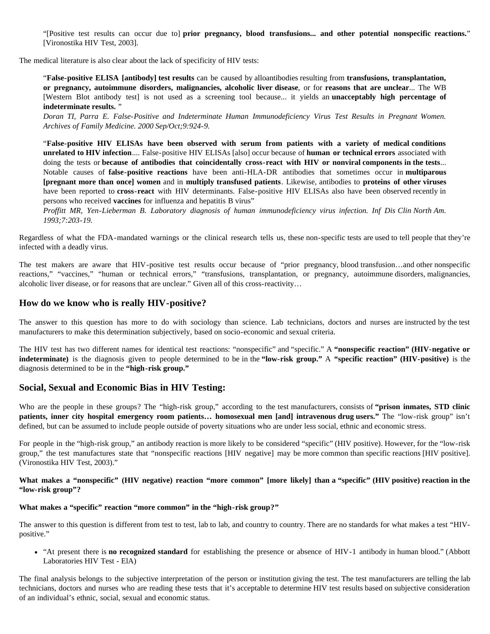"[Positive test results can occur due to] **prior pregnancy, blood transfusions... and other potential nonspecific reactions.**" [Vironostika HIV Test, 2003].

The medical literature is also clear about the lack of specificity of HIV tests:

"**False-positive ELISA [antibody] test results** can be caused by alloantibodies resulting from **transfusions, transplantation, or pregnancy, autoimmune disorders, malignancies, alcoholic liver disease**, or for **reasons that are unclear**... The WB [Western Blot antibody test] is not used as a screening tool because... it yields an **unacceptably high percentage of indeterminate results.** "

*Doran TI, Parra E. False-Positive and Indeterminate Human Immunodeficiency Virus Test Results in Pregnant Women. Archives of Family Medicine. 2000 Sep/Oct;9:924-9.*

"**False-positive HIV ELISAs have been observed with serum from patients with a variety of medical conditions unrelated to HIV infection**.... False-positive HIV ELISAs [also] occur because of **human or technical errors** associated with doing the tests or **because of antibodies that coincidentally cross-react with HIV or nonviral components in the tests**... Notable causes of **false-positive reactions** have been anti-HLA-DR antibodies that sometimes occur in **multiparous [pregnant more than once] women** and in **multiply transfused patients**. Likewise, antibodies to **proteins of other viruses** have been reported to **cross-react** with HIV determinants. False-positive HIV ELISAs also have been observed recently in persons who received **vaccines** for influenza and hepatitis B virus"

*Proffitt MR, Yen-Lieberman B. Laboratory diagnosis of human immunodeficiency virus infection. Inf Dis Clin North Am. 1993;7:203-19.*

Regardless of what the FDA-mandated warnings or the clinical research tells us, these non-specific tests are used to tell people that they're infected with a deadly virus.

The test makers are aware that HIV-positive test results occur because of "prior pregnancy, blood transfusion…and other nonspecific reactions," "vaccines," "human or technical errors," "transfusions, transplantation, or pregnancy, autoimmune disorders, malignancies, alcoholic liver disease, or for reasons that are unclear." Given all of this cross-reactivity…

### **How do we know who is really HIV-positive?**

The answer to this question has more to do with sociology than science. Lab technicians, doctors and nurses are instructed by the test manufacturers to make this determination subjectively, based on socio-economic and sexual criteria.

The HIV test has two different names for identical test reactions: "nonspecific" and "specific." A **"nonspecific reaction" (HIV-negative or indeterminate)** is the diagnosis given to people determined to be in the **"low-risk group."** A **"specific reaction" (HIV-positive)** is the diagnosis determined to be in the **"high-risk group."**

### **Social, Sexual and Economic Bias in HIV Testing:**

Who are the people in these groups? The "high-risk group," according to the test manufacturers, consists of **"prison inmates, STD clinic patients, inner city hospital emergency room patients… homosexual men [and] intravenous drug users."** The "low-risk group" isn't defined, but can be assumed to include people outside of poverty situations who are under less social, ethnic and economic stress.

For people in the "high-risk group," an antibody reaction is more likely to be considered "specific" (HIV positive). However, for the "low-risk group," the test manufactures state that "nonspecific reactions [HIV negative] may be more common than specific reactions [HIV positive]. (Vironostika HIV Test, 2003)."

**What makes a "nonspecific" (HIV negative) reaction "more common" [more likely] than a "specific" (HIV positive) reaction in the "low-risk group"?**

### **What makes a "specific" reaction "more common" in the "high-risk group?"**

The answer to this question is different from test to test, lab to lab, and country to country. There are no standards for what makes a test "HIVpositive."

"At present there is **no recognized standard** for establishing the presence or absence of HIV-1 antibody in human blood." (Abbott Laboratories HIV Test - ElA)

The final analysis belongs to the subjective interpretation of the person or institution giving the test. The test manufacturers are telling the lab technicians, doctors and nurses who are reading these tests that it's acceptable to determine HIV test results based on subjective consideration of an individual's ethnic, social, sexual and economic status.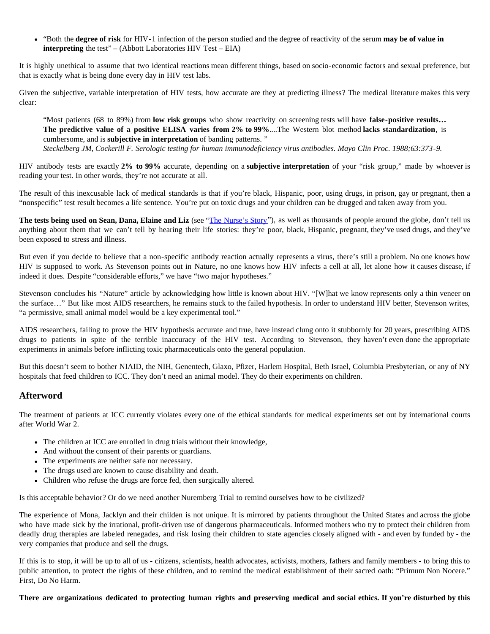"Both the **degree of risk** for HIV-1 infection of the person studied and the degree of reactivity of the serum **may be of value in interpreting** the test" – (Abbott Laboratories HIV Test – EIA)

It is highly unethical to assume that two identical reactions mean different things, based on socio-economic factors and sexual preference, but that is exactly what is being done every day in HIV test labs.

Given the subjective, variable interpretation of HIV tests, how accurate are they at predicting illness? The medical literature makes this very clear:

"Most patients (68 to 89%) from **low risk groups** who show reactivity on screening tests will have **false-positive results… The predictive value of a positive ELISA varies from 2% to 99%**....The Western blot method **lacks standardization**, is cumbersome, and is **subjective in interpretation** of banding patterns. " *Steckelberg JM, Cockerill F. Serologic testing for human immunodeficiency virus antibodies. Mayo Clin Proc. 1988;63:373-9.*

HIV antibody tests are exactly **2% to 99%** accurate, depending on a **subjective interpretation** of your "risk group," made by whoever is reading your test. In other words, they're not accurate at all.

The result of this inexcusable lack of medical standards is that if you're black, Hispanic, poor, using drugs, in prison, gay or pregnant, then a "nonspecific" test result becomes a life sentence. You're put on toxic drugs and your children can be drugged and taken away from you.

The tests being used on Sean, Dana, Elaine and Liz (see "[The Nurse's Story"](http://www.altheal.org/toxicity/nurse.htm)), as well as thousands of people around the globe, don't tell us anything about them that we can't tell by hearing their life stories: they're poor, black, Hispanic, pregnant, they've used drugs, and they've been exposed to stress and illness.

But even if you decide to believe that a non-specific antibody reaction actually represents a virus, there's still a problem. No one knows how HIV is supposed to work. As Stevenson points out in Nature, no one knows how HIV infects a cell at all, let alone how it causes disease, if indeed it does. Despite "considerable efforts," we have "two major hypotheses."

Stevenson concludes his "Nature" article by acknowledging how little is known about HIV. "[W]hat we know represents only a thin veneer on the surface…" But like most AIDS researchers, he remains stuck to the failed hypothesis. In order to understand HIV better, Stevenson writes, "a permissive, small animal model would be a key experimental tool."

AIDS researchers, failing to prove the HIV hypothesis accurate and true, have instead clung onto it stubbornly for 20 years, prescribing AIDS drugs to patients in spite of the terrible inaccuracy of the HIV test. According to Stevenson, they haven't even done the appropriate experiments in animals before inflicting toxic pharmaceuticals onto the general population.

But this doesn't seem to bother NIAID, the NIH, Genentech, Glaxo, Pfizer, Harlem Hospital, Beth Israel, Columbia Presbyterian, or any of NY hospitals that feed children to ICC. They don't need an animal model. They do their experiments on children.

### **Afterword**

The treatment of patients at ICC currently violates every one of the ethical standards for medical experiments set out by international courts after World War 2.

- The children at ICC are enrolled in drug trials without their knowledge,
- And without the consent of their parents or guardians.
- The experiments are neither safe nor necessary.
- The drugs used are known to cause disability and death.
- Children who refuse the drugs are force fed, then surgically altered.

Is this acceptable behavior? Or do we need another Nuremberg Trial to remind ourselves how to be civilized?

The experience of Mona, Jacklyn and their childen is not unique. It is mirrored by patients throughout the United States and across the globe who have made sick by the irrational, profit-driven use of dangerous pharmaceuticals. Informed mothers who try to protect their children from deadly drug therapies are labeled renegades, and risk losing their children to state agencies closely aligned with - and even by funded by - the very companies that produce and sell the drugs.

If this is to stop, it will be up to all of us - citizens, scientists, health advocates, activists, mothers, fathers and family members - to bring this to public attention, to protect the rights of these children, and to remind the medical establishment of their sacred oath: "Primum Non Nocere." First, Do No Harm.

**There are organizations dedicated to protecting human rights and preserving medical and social ethics. If you're disturbed by this**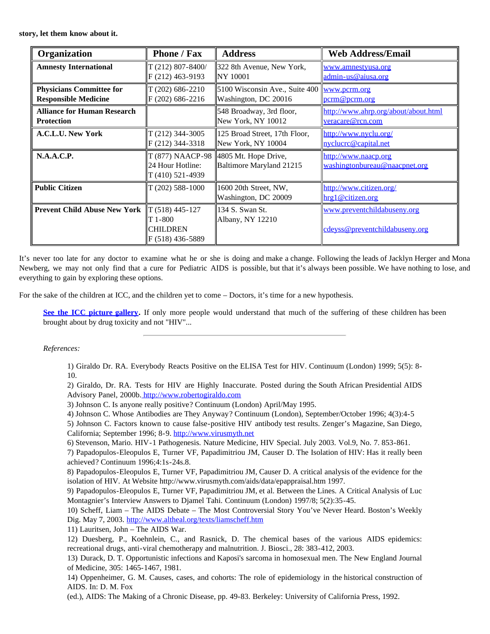**story, let them know about it.**

| Organization                        | <b>Phone / Fax</b>                                                    | <b>Address</b>                                   | <b>Web Address/Email</b>                                      |
|-------------------------------------|-----------------------------------------------------------------------|--------------------------------------------------|---------------------------------------------------------------|
| <b>Amnesty International</b>        | $T(212)$ 807-8400/                                                    | 322 8th Avenue, New York,                        | www.amnestyusa.org                                            |
|                                     | $ F(212) 463-9193 $                                                   | NY 10001                                         | admin-us@aiusa.org                                            |
| <b>Physicians Committee for</b>     | $T(202)$ 686-2210                                                     | 5100 Wisconsin Ave., Suite 400                   | www.pcrm.org                                                  |
| <b>Responsible Medicine</b>         | $F(202)$ 686-2216                                                     | Washington, DC 20016                             | pcrm@pcrm.org                                                 |
| <b>Alliance for Human Research</b>  |                                                                       | 548 Broadway, 3rd floor,                         | http://www.ahrp.org/about/about.html                          |
| <b>Protection</b>                   |                                                                       | New York, NY 10012                               | veracare@rcn.com                                              |
| A.C.L.U. New York                   | $T(212)$ 344-3005                                                     | 125 Broad Street, 17th Floor,                    | http://www.nyclu.org/                                         |
|                                     | $ F(212) 344 - 3318 $                                                 | New York, NY 10004                               | nyclucre@capital.net                                          |
| N.A.A.C.P.                          | T (877) NAACP-98<br>24 Hour Hotline:<br>T (410) 521-4939              | 4805 Mt. Hope Drive,<br>Baltimore Maryland 21215 | http://www.naacp.org<br>washingtonbureau@naacpnet.org         |
| <b>Public Citizen</b>               | $T(202)$ 588-1000                                                     | 1600 20th Street, NW,<br>Washington, DC 20009    | http://www.citizen.org/<br>hrg1@citizen.org                   |
| <b>Prevent Child Abuse New York</b> | $\ T(518)$ 445-127<br>$T1-800$<br><b>CHILDREN</b><br>F (518) 436-5889 | 134 S. Swan St.<br>Albany, NY 12210              | www.preventchildabuseny.org<br>cdeyss@preventchildabuseny.org |

It's never too late for any doctor to examine what he or she is doing and make a change. Following the leads of Jacklyn Herger and Mona Newberg, we may not only find that a cure for Pediatric AIDS is possible, but that it's always been possible. We have nothing to lose, and everything to gain by exploring these options.

For the sake of the children at ICC, and the children yet to come – Doctors, it's time for a new hypothesis.

**[See the ICC picture gallery](http://www.altheal.org/toxicity/gallery.htm).** If only more people would understand that much of the suffering of these children has been brought about by drug toxicity and not "HIV"...

### *References:*

1) Giraldo Dr. RA. Everybody Reacts Positive on the ELISA Test for HIV. Continuum (London) 1999; 5(5): 8- 10.

2) Giraldo, Dr. RA. Tests for HIV are Highly Inaccurate. Posted during the South African Presidential AIDS Advisory Panel, 2000b. [http://www.robertogiraldo.com](http://www.robertogiraldo.com/)

3) Johnson C. Is anyone really positive? Continuum (London) April/May 1995.

- 4) Johnson C. Whose Antibodies are They Anyway? Continuum (London), September/October 1996; 4(3):4-5
- 5) Johnson C. Factors known to cause false-positive HIV antibody test results. Zenger's Magazine, San Diego,
- California; September 1996; 8-9. [http://www.virusmyth.net](http://www.virusmyth.net/)
- 6) Stevenson, Mario. HIV-1 Pathogenesis. Nature Medicine, HIV Special. July 2003. Vol.9, No. 7. 853-861.
- 7) Papadopulos-Eleopulos E, Turner VF, Papadimitriou JM, Causer D. The Isolation of HIV: Has it really been achieved? Continuum 1996;4:1s-24s.8.

8) Papadopulos-Eleopulos E, Turner VF, Papadimitriou JM, Causer D. A critical analysis of the evidence for the isolation of HIV. At Website http://www.virusmyth.com/aids/data/epappraisal.htm 1997.

9) Papadopulos-Eleopulos E, Turner VF, Papadimitriou JM, et al. Between the Lines. A Critical Analysis of Luc Montagnier's Interview Answers to Djamel Tahi. Continuum (London) 1997/8; 5(2):35-45.

10) Scheff, Liam – The AIDS Debate – The Most Controversial Story You've Never Heard. Boston's Weekly Dig. May 7, 2003.<http://www.altheal.org/texts/liamscheff.htm>

11) Lauritsen, John – The AIDS War.

- 12) Duesberg, P., Koehnlein, C., and Rasnick, D. The chemical bases of the various AIDS epidemics: recreational drugs, anti-viral chemotherapy and malnutrition. J. Biosci., 28: 383-412, 2003.
- 13) Durack, D. T. Opportunistic infections and Kaposi's sarcoma in homosexual men. The New England Journal of Medicine, 305: 1465-1467, 1981.

14) Oppenheimer, G. M. Causes, cases, and cohorts: The role of epidemiology in the historical construction of AIDS. In: D. M. Fox

(ed.), AIDS: The Making of a Chronic Disease, pp. 49-83. Berkeley: University of California Press, 1992.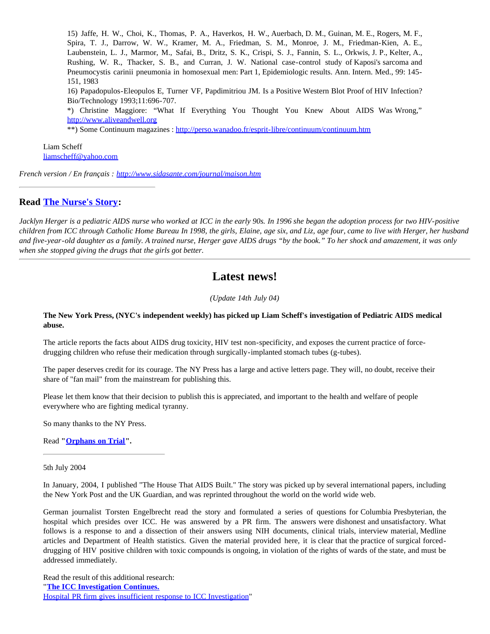15) Jaffe, H. W., Choi, K., Thomas, P. A., Haverkos, H. W., Auerbach, D. M., Guinan, M. E., Rogers, M. F., Spira, T. J., Darrow, W. W., Kramer, M. A., Friedman, S. M., Monroe, J. M., Friedman-Kien, A. E., Laubenstein, L. J., Marmor, M., Safai, B., Dritz, S. K., Crispi, S. J., Fannin, S. L., Orkwis, J. P., Kelter, A., Rushing, W. R., Thacker, S. B., and Curran, J. W. National case-control study of Kaposi's sarcoma and Pneumocystis carinii pneumonia in homosexual men: Part 1, Epidemiologic results. Ann. Intern. Med., 99: 145- 151, 1983

16) Papadopulos-Eleopulos E, Turner VF, Papdimitriou JM. Is a Positive Western Blot Proof of HIV Infection? Bio/Technology 1993;11:696-707.

\*) Christine Maggiore: "What If Everything You Thought You Knew About AIDS Was Wrong," [http://www.aliveandwell.org](http://www.aliveandwell.org/)

\*\*) Some Continuum magazines : <http://perso.wanadoo.fr/esprit-libre/continuum/continuum.htm>

Liam Scheff [liamscheff@yahoo.com](mailto:liamscheff@yahoo.com)

*French version / En français : <http://www.sidasante.com/journal/maison.htm>*

### **Read [The Nurse's Story:](http://www.altheal.org/toxicity/nurse.htm)**

*Jacklyn Herger is a pediatric AIDS nurse who worked at ICC in the early 90s. In 1996 she began the adoption process for two HIV-positive children from ICC through Catholic Home Bureau In 1998, the girls, Elaine, age six, and Liz, age four, came to live with Herger, her husband and five-year-old daughter as a family. A trained nurse, Herger gave AIDS drugs "by the book." To her shock and amazement, it was only when she stopped giving the drugs that the girls got better.*

## **Latest news!**

*(Update 14th July 04)*

### **The New York Press, (NYC's independent weekly) has picked up Liam Scheff's investigation of Pediatric AIDS medical abuse.**

The article reports the facts about AIDS drug toxicity, HIV test non-specificity, and exposes the current practice of forcedrugging children who refuse their medication through surgically-implanted stomach tubes (g-tubes).

The paper deserves credit for its courage. The NY Press has a large and active letters page. They will, no doubt, receive their share of "fan mail" from the mainstream for publishing this.

Please let them know that their decision to publish this is appreciated, and important to the health and welfare of people everywhere who are fighting medical tyranny.

So many thanks to the NY Press.

Read **"[Orphans on Trial"](http://www.altheal.org/toxicity/orphans.htm).**

5th July 2004

In January, 2004, I published "The House That AIDS Built." The story was picked up by several international papers, including the New York Post and the UK Guardian, and was reprinted throughout the world on the world wide web.

German journalist Torsten Engelbrecht read the story and formulated a series of questions for Columbia Presbyterian, the hospital which presides over ICC. He was answered by a PR firm. The answers were dishonest and unsatisfactory. What follows is a response to and a dissection of their answers using NIH documents, clinical trials, interview material, Medline articles and Department of Health statistics. Given the material provided here, it is clear that the practice of surgical forceddrugging of HIV positive children with toxic compounds is ongoing, in violation of the rights of wards of the state, and must be addressed immediately.

Read the result of this additional research: "**[The ICC Investigation Continues.](http://www.altheal.org/toxicity/icccont.htm)** [Hospital PR firm gives insufficient response to ICC Investigation](http://www.altheal.org/toxicity/icccont.htm)"